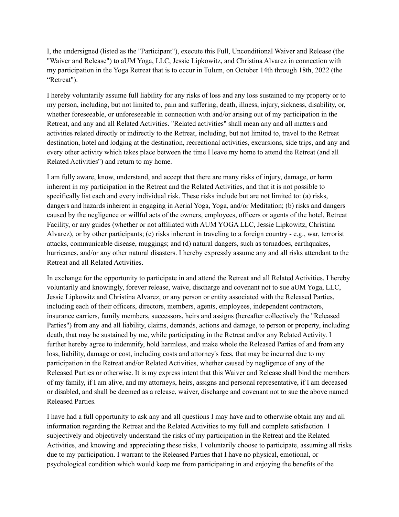I, the undersigned (listed as the "Participant"), execute this Full, Unconditional Waiver and Release (the "Waiver and Release") to aUM Yoga, LLC, Jessie Lipkowitz, and Christina Alvarez in connection with my participation in the Yoga Retreat that is to occur in Tulum, on October 14th through 18th, 2022 (the "Retreat").

I hereby voluntarily assume full liability for any risks of loss and any loss sustained to my property or to my person, including, but not limited to, pain and suffering, death, illness, injury, sickness, disability, or, whether foreseeable, or unforeseeable in connection with and/or arising out of my participation in the Retreat, and any and all Related Activities. "Related activities" shall mean any and all matters and activities related directly or indirectly to the Retreat, including, but not limited to, travel to the Retreat destination, hotel and lodging at the destination, recreational activities, excursions, side trips, and any and every other activity which takes place between the time I leave my home to attend the Retreat (and all Related Activities") and return to my home.

I am fully aware, know, understand, and accept that there are many risks of injury, damage, or harm inherent in my participation in the Retreat and the Related Activities, and that it is not possible to specifically list each and every individual risk. These risks include but are not limited to: (a) risks, dangers and hazards inherent in engaging in Aerial Yoga, Yoga, and/or Meditation; (b) risks and dangers caused by the negligence or willful acts of the owners, employees, officers or agents of the hotel, Retreat Facility, or any guides (whether or not affiliated with AUM YOGA LLC, Jessie Lipkowitz, Christina Alvarez), or by other participants; (c) risks inherent in traveling to a foreign country - e.g., war, terrorist attacks, communicable disease, muggings; and (d) natural dangers, such as tornadoes, earthquakes, hurricanes, and/or any other natural disasters. I hereby expressly assume any and all risks attendant to the Retreat and all Related Activities.

In exchange for the opportunity to participate in and attend the Retreat and all Related Activities, I hereby voluntarily and knowingly, forever release, waive, discharge and covenant not to sue aUM Yoga, LLC, Jessie Lipkowitz and Christina Alvarez, or any person or entity associated with the Released Parties, including each of their officers, directors, members, agents, employees, independent contractors, insurance carriers, family members, successors, heirs and assigns (hereafter collectively the "Released Parties") from any and all liability, claims, demands, actions and damage, to person or property, including death, that may be sustained by me, while participating in the Retreat and/or any Related Activity. I further hereby agree to indemnify, hold harmless, and make whole the Released Parties of and from any loss, liability, damage or cost, including costs and attorney's fees, that may be incurred due to my participation in the Retreat and/or Related Activities, whether caused by negligence of any of the Released Parties or otherwise. It is my express intent that this Waiver and Release shall bind the members of my family, if I am alive, and my attorneys, heirs, assigns and personal representative, if I am deceased or disabled, and shall be deemed as a release, waiver, discharge and covenant not to sue the above named Released Parties.

I have had a full opportunity to ask any and all questions I may have and to otherwise obtain any and all information regarding the Retreat and the Related Activities to my full and complete satisfaction. 1 subjectively and objectively understand the risks of my participation in the Retreat and the Related Activities, and knowing and appreciating these risks, I voluntarily choose to participate, assuming all risks due to my participation. I warrant to the Released Parties that I have no physical, emotional, or psychological condition which would keep me from participating in and enjoying the benefits of the